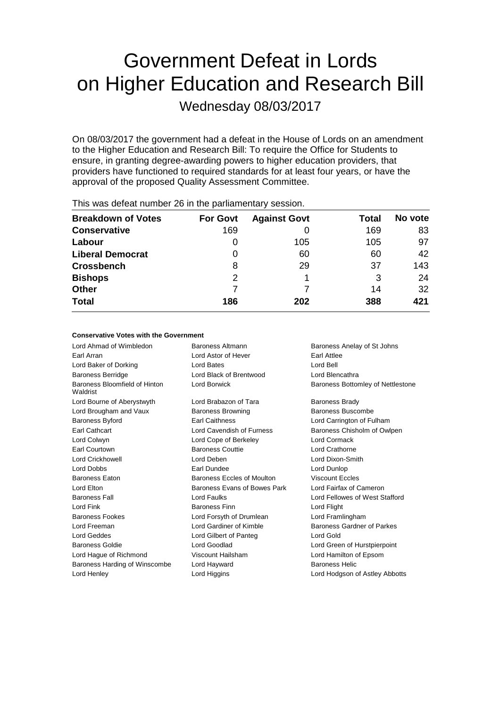# Government Defeat in Lords on Higher Education and Research Bill

Wednesday 08/03/2017

On 08/03/2017 the government had a defeat in the House of Lords on an amendment to the Higher Education and Research Bill: To require the Office for Students to ensure, in granting degree-awarding powers to higher education providers, that providers have functioned to required standards for at least four years, or have the approval of the proposed Quality Assessment Committee.

| $1.1.0$ $\sigma$ . The state of $\sigma$ . The state $\sigma$ is the state position in the state of $\sigma$ |                 |                     |       |         |  |
|--------------------------------------------------------------------------------------------------------------|-----------------|---------------------|-------|---------|--|
| <b>Breakdown of Votes</b>                                                                                    | <b>For Govt</b> | <b>Against Govt</b> | Total | No vote |  |
| <b>Conservative</b>                                                                                          | 169             |                     | 169   | 83      |  |
| Labour                                                                                                       | 0               | 105                 | 105   | 97      |  |
| <b>Liberal Democrat</b>                                                                                      | 0               | 60                  | 60    | 42      |  |
| <b>Crossbench</b>                                                                                            | 8               | 29                  | 37    | 143     |  |
| <b>Bishops</b>                                                                                               | 2               |                     | 3     | 24      |  |
| <b>Other</b>                                                                                                 |                 |                     | 14    | 32      |  |
| <b>Total</b>                                                                                                 | 186             | 202                 | 388   | 421     |  |

This was defeat number 26 in the parliamentary session.

#### **Conservative Votes with the Government**

Lord Ahmad of Wimbledon Baroness Altmann Baroness Anelay of St Johns Earl Arran **Earl Attlee** Lord Astor of Hever **Earl Attlee** Lord Baker of Dorking Lord Bates Lord Bell Baroness Berridge Lord Black of Brentwood Lord Blencathra Baroness Bloomfield of Hinton Waldrist Lord Borwick **Baroness Bottomley of Nettlestone** Lord Bourne of Aberystwyth Lord Brabazon of Tara Baroness Brady Lord Brougham and Vaux **Baroness Browning** Baroness Buscombe Baroness Byford Earl Caithness Lord Carrington of Fulham Earl Cathcart Lord Cavendish of Furness Baroness Chisholm of Owlpen Lord Colwyn Lord Cope of Berkeley Lord Cormack Earl Courtown Baroness Couttie Lord Crathorne Lord Crickhowell Lord Deben Lord Dixon-Smith Lord Dobbs Earl Dundee Lord Dunlop Baroness Eaton Baroness Eccles of Moulton Viscount Eccles Lord Elton **Baroness Evans of Bowes Park** Lord Fairfax of Cameron Baroness Fall Lord Faulks Lord Fellowes of West Stafford Lord Fink **Baroness Finn** Baroness Finn **Lord Flight** Baroness Fookes Lord Forsyth of Drumlean Lord Framlingham Lord Freeman **Lord Gardiner of Kimble** Baroness Gardner of Parkes Lord Geddes Lord Gilbert of Panteg Lord Gold Baroness Goldie Lord Goodlad Lord Green of Hurstpierpoint Lord Hague of Richmond Viscount Hailsham Lord Hamilton of Epsom Baroness Harding of Winscombe Lord Hayward Baroness Helic Lord Henley Lord Higgins Lord Hodgson of Astley Abbotts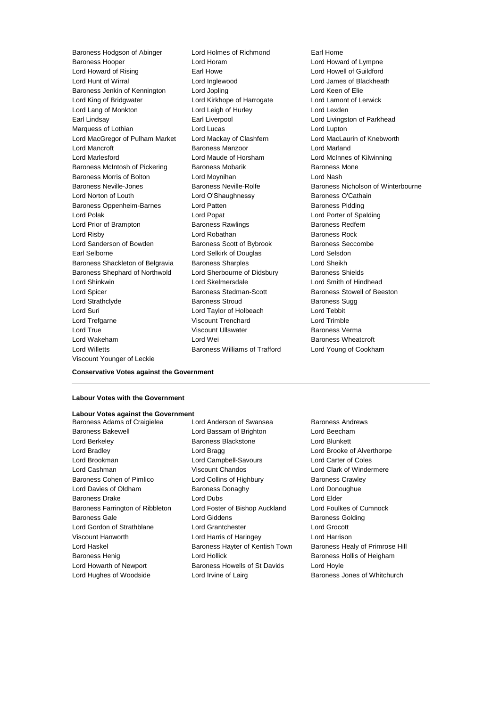Baroness Hooper Lord Horam Lord Howard of Lympne Lord Howard of Rising Earl Howe Lord Howell of Guildford Lord Hunt of Wirral Lord Inglewood Lord James of Blackheath Baroness Jenkin of Kennington Lord Jopling Lord Keen of Elie Lord King of Bridgwater Lord Kirkhope of Harrogate Lord Lamont of Lerwick Lord Lang of Monkton Lord Leigh of Hurley Lord Lexden Earl Lindsay **Earl Liverpool** Earl Liverpool **Lord Livingston of Parkhead** Marquess of Lothian **Lord Lucas** Lord Lucas Lord Lupton Lord MacGregor of Pulham Market Lord Mackay of Clashfern Lord MacLaurin of Knebworth Lord Mancroft **Baroness Manzoor** Lord Marland Lord Marlesford Lord Maude of Horsham Lord McInnes of Kilwinning Baroness McIntosh of Pickering Baroness Mobarik Baroness Mone Baroness Morris of Bolton Lord Moynihan Lord Nash Baroness Neville-Jones **Baroness Neville-Rolfe** Baroness Nicholson of Winterbourne Lord Norton of Louth **Lord O'Shaughnessy** Baroness O'Cathain Baroness Oppenheim-Barnes and Lord Patten and Baroness Pidding Lord Polak Lord Popat Lord Porter of Spalding Lord Prior of Brampton **Baroness Rawlings** Baroness Redfern Lord Risby **Lord Robathan** Baroness Rock Lord Sanderson of Bowden **Baroness Scott of Bybrook** Baroness Seccombe Earl Selborne Lord Selkirk of Douglas Lord Selsdon Baroness Shackleton of Belgravia Baroness Sharples Lord Sheikh Baroness Shephard of Northwold Lord Sherbourne of Didsbury Baroness Shields Lord Shinkwin Lord Skelmersdale Lord Smith of Hindhead Lord Spicer Baroness Stedman-Scott Baroness Stowell of Beeston Lord Strathclyde **Baroness Stroud** Baroness Stroud Baroness Sugg Lord Suri Lord Taylor of Holbeach Lord Tebbit Lord Trefgarne Viscount Trenchard Lord Trimble Lord True Viscount Ullswater Baroness Verma Lord Wakeham Lord Wei Baroness Wheatcroft Lord Willetts Baroness Williams of Trafford Lord Young of Cookham Viscount Younger of Leckie

Baroness Hodgson of Abinger Lord Holmes of Richmond Earl Home

#### **Conservative Votes against the Government**

#### **Labour Votes with the Government**

### **Labour Votes against the Government**

Baroness Bakewell Lord Bassam of Brighton Lord Beecham Lord Berkeley **Baroness Blackstone** Lord Blunkett Lord Bradley Lord Bragg Lord Brooke of Alverthorpe Lord Brookman Lord Campbell-Savours Lord Carter of Coles Lord Cashman Viscount Chandos Lord Clark of Windermere Baroness Cohen of Pimlico **Lord Collins of Highbury** Baroness Crawley Lord Davies of Oldham Baroness Donaghy Lord Donoughue Baroness Drake Lord Dubs Lord Elder Baroness Farrington of Ribbleton Lord Foster of Bishop Auckland Lord Foulkes of Cumnock Baroness Gale **Baroness Golding** Lord Giddens **Baroness Golding** Lord Gordon of Strathblane Lord Grantchester Lord Grocott Viscount Hanworth Lord Harris of Haringey Lord Harrison Lord Haskel **Baroness Hayter of Kentish Town** Baroness Healy of Primrose Hill Baroness Henig Lord Hollick Baroness Hollis of Heigham Lord Howarth of Newport **Baroness Howells of St Davids** Lord Hoyle

Baroness Adams of Craigielea Lord Anderson of Swansea Baroness Andrews Lord Hughes of Woodside Lord Irvine of Lairg Baroness Jones of Whitchurch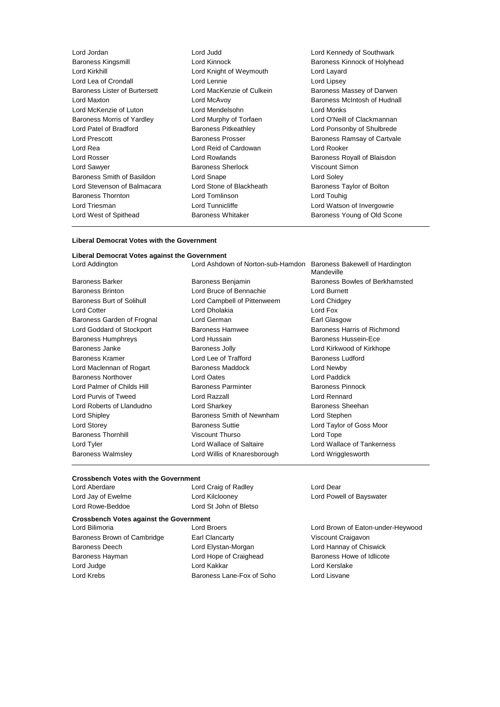| Lord Jordan                   | Lord Judd                   | Lord Kennedy of Southwark    |
|-------------------------------|-----------------------------|------------------------------|
| <b>Baroness Kingsmill</b>     | Lord Kinnock                | Baroness Kinnock of Holyhead |
| Lord Kirkhill                 | Lord Knight of Weymouth     | Lord Layard                  |
| Lord Lea of Crondall          | Lord Lennie                 | Lord Lipsey                  |
| Baroness Lister of Burtersett | Lord MacKenzie of Culkein   | Baroness Massey of Darwen    |
| Lord Maxton                   | Lord McAvoy                 | Baroness McIntosh of Hudnall |
| Lord McKenzie of Luton        | Lord Mendelsohn             | Lord Monks                   |
| Baroness Morris of Yardley    | Lord Murphy of Torfaen      | Lord O'Neill of Clackmannan  |
| Lord Patel of Bradford        | <b>Baroness Pitkeathley</b> | Lord Ponsonby of Shulbrede   |
| Lord Prescott                 | Baroness Prosser            | Baroness Ramsay of Cartvale  |
| Lord Rea                      | Lord Reid of Cardowan       | Lord Rooker                  |
| Lord Rosser                   | Lord Rowlands               | Baroness Royall of Blaisdon  |
| Lord Sawyer                   | <b>Baroness Sherlock</b>    | Viscount Simon               |
| Baroness Smith of Basildon    | Lord Snape                  | Lord Soley                   |
| Lord Stevenson of Balmacara   | Lord Stone of Blackheath    | Baroness Taylor of Bolton    |
| <b>Baroness Thornton</b>      | Lord Tomlinson              | Lord Touhig                  |
| Lord Triesman                 | Lord Tunnicliffe            | Lord Watson of Invergowrie   |
| Lord West of Spithead         | <b>Baroness Whitaker</b>    | Baroness Young of Old Scone  |
|                               |                             |                              |

#### **Liberal Democrat Votes with the Government**

#### **Liberal Democrat Votes against the Government**

Baroness Brinton Lord Bruce of Bennachie Lord Burnett Baroness Burt of Solihull **Lord Campbell of Pittenweem** Lord Chidgey Lord Cotter **Lord Dholakia** Lord Dholakia Lord Fox Baroness Garden of Frognal Lord German **Earl Glasgow** Earl Glasgow Lord Goddard of Stockport Baroness Hamwee Baroness Harris of Richmond Baroness Humphreys Lord Hussain Baroness Hussein-Ece Baroness Janke **Baroness Jolly Communist Communist Communist Communist Communist Communist Communist Communist Communist Communist Communist Communist Communist Communist Communist Communist Communist Communist Communist C** Baroness Kramer **Edge Corner Lord Lee of Trafford** Baroness Ludford Baroness Ludford Lord Maclennan of Rogart Baroness Maddock Lord Newby Baroness Northover Lord Oates Lord Paddick Lord Palmer of Childs Hill **Baroness Parminter** Baroness Parminter Baroness Pinnock Lord Purvis of Tweed Lord Razzall Lord Rennard Lord Roberts of Llandudno **Lord Sharkey Baroness Sheehan** Lord Shipley Baroness Smith of Newnham Lord Stephen Lord Storey Baroness Suttie Lord Taylor of Goss Moor Baroness Thornhill **Same School Control Viscount Thurso** Control Lord Tope Lord Tyler Lord Wallace of Saltaire Lord Wallace of Tankerness Baroness Walmsley **Lord Willis of Knaresborough** Lord Wrigglesworth

Lord Addington Lord Ashdown of Norton-sub-Hamdon Baroness Bakewell of Hardington Mandeville Baroness Barker **Baroness Benjamin** Baroness Benjamin Baroness Bowles of Berkhamsted

#### **Crossbench Votes with the Government**

| Lord Aberdare      | Lord Craig of Radley   | Lord Dear                |
|--------------------|------------------------|--------------------------|
| Lord Jay of Ewelme | Lord Kilclooney        | Lord Powell of Bayswater |
| Lord Rowe-Beddoe   | Lord St John of Bletso |                          |

### **Crossbench Votes against the Government**

Baroness Brown of Cambridge Earl Clancarty **Early Clancial Clancarty** Viscount Craigavon Baroness Deech Lord Elystan-Morgan Lord Hannay of Chiswick Baroness Hayman Lord Hope of Craighead Baroness Howe of Idlicote Lord Judge Lord Kakkar Lord Kerslake Lord Krebs Baroness Lane-Fox of Soho Lord Lisvane

Lord Brown of Eaton-under-Heywood